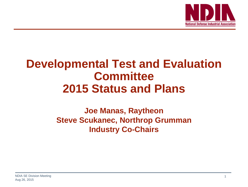

## **Developmental Test and Evaluation Committee 2015 Status and Plans**

## **Joe Manas, Raytheon Steve Scukanec, Northrop Grumman Industry Co-Chairs**